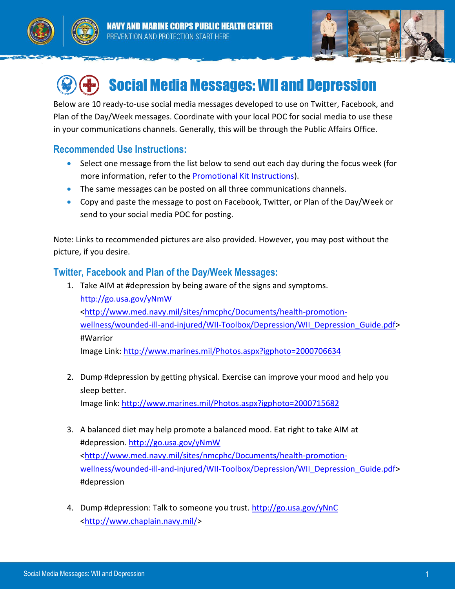





## Social Media Messages: WII and Depression

Below are 10 ready-to-use social media messages developed to use on Twitter, Facebook, and Plan of the Day/Week messages. Coordinate with your local POC for social media to use these in your communications channels. Generally, this will be through the Public Affairs Office.

## **Recommended Use Instructions:**

- Select one message from the list below to send out each day during the focus week (for more information, refer to the [Promotional Kit Instructions\)](http://www.med.navy.mil/sites/nmcphc/Documents/health-promotion-wellness/wounded-ill-and-injured/WII-Toolbox/Depression/WII_Depression_PromoKit.pdf).
- The same messages can be posted on all three communications channels.
- Copy and paste the message to post on Facebook, Twitter, or Plan of the Day/Week or send to your social media POC for posting.

Note: Links to recommended pictures are also provided. However, you may post without the picture, if you desire.

## **Twitter, Facebook and Plan of the Day/Week Messages:**

- 1. Take AIM at #depression by being aware of the signs and symptoms. <http://go.usa.gov/yNmW> [<http://www.med.navy.mil/sites/nmcphc/Documents/health-promotion](http://www.med.navy.mil/sites/nmcphc/Documents/health-promotion-wellness/wounded-ill-and-injured/WII-Toolbox/Depression/WII_Depression_Guide.pdf)[wellness/wounded-ill-and-injured/WII-Toolbox/Depression/WII\\_Depression\\_Guide.pdf>](http://www.med.navy.mil/sites/nmcphc/Documents/health-promotion-wellness/wounded-ill-and-injured/WII-Toolbox/Depression/WII_Depression_Guide.pdf) #Warrior Image Link:<http://www.marines.mil/Photos.aspx?igphoto=2000706634>
- 2. Dump #depression by getting physical. Exercise can improve your mood and help you sleep better. Image link:<http://www.marines.mil/Photos.aspx?igphoto=2000715682>
- 3. A balanced diet may help promote a balanced mood. Eat right to take AIM at #depression.<http://go.usa.gov/yNmW> [<http://www.med.navy.mil/sites/nmcphc/Documents/health-promotion](http://www.med.navy.mil/sites/nmcphc/Documents/health-promotion-wellness/wounded-ill-and-injured/WII-Toolbox/Depression/WII_Depression_Guide.pdf)[wellness/wounded-ill-and-injured/WII-Toolbox/Depression/WII\\_Depression\\_Guide.pdf>](http://www.med.navy.mil/sites/nmcphc/Documents/health-promotion-wellness/wounded-ill-and-injured/WII-Toolbox/Depression/WII_Depression_Guide.pdf) #depression
- 4. Dump #depression: Talk to someone you trust.<http://go.usa.gov/yNnC> [<http://www.chaplain.navy.mil/>](http://www.chaplain.navy.mil/)